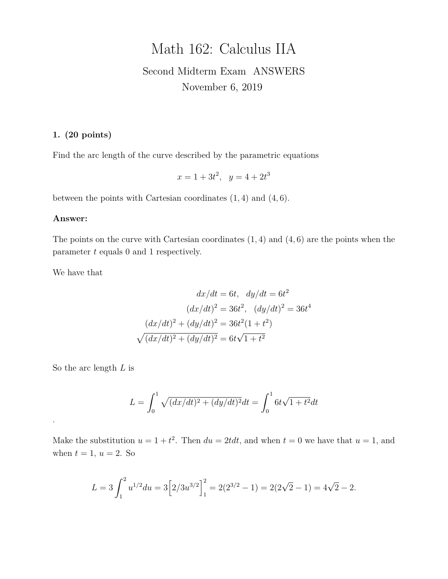# Math 162: Calculus IIA

## Second Midterm Exam ANSWERS November 6, 2019

## **1. (20 points)**

Find the arc length of the curve described by the parametric equations

$$
x = 1 + 3t^2, \quad y = 4 + 2t^3
$$

between the points with Cartesian coordinates  $(1, 4)$  and  $(4, 6)$ .

#### **Answer:**

The points on the curve with Cartesian coordinates  $(1, 4)$  and  $(4, 6)$  are the points when the parameter t equals 0 and 1 respectively.

We have that

$$
dx/dt = 6t, dy/dt = 6t2
$$

$$
(dx/dt)2 = 36t2, (dy/dt)2 = 36t4
$$

$$
(dx/dt)2 + (dy/dt)2 = 36t2(1 + t2)
$$

$$
\sqrt{(dx/dt)2 + (dy/dt)2} = 6t\sqrt{1 + t2}
$$

So the arc length  $L$  is

.

$$
L = \int_0^1 \sqrt{(dx/dt)^2 + (dy/dt)^2} dt = \int_0^1 6t\sqrt{1 + t^2} dt
$$

Make the substitution  $u = 1 + t^2$ . Then  $du = 2tdt$ , and when  $t = 0$  we have that  $u = 1$ , and when  $t = 1$ ,  $u = 2$ . So

$$
L = 3 \int_1^2 u^{1/2} du = 3 \left[ 2/3 u^{3/2} \right]_1^2 = 2(2^{3/2} - 1) = 2(2\sqrt{2} - 1) = 4\sqrt{2} - 2.
$$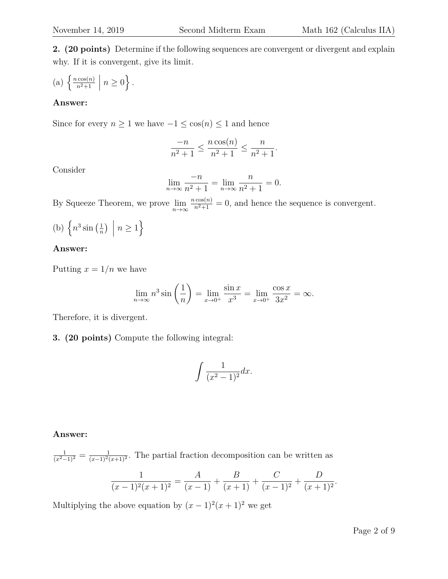**2. (20 points)** Determine if the following sequences are convergent or divergent and explain why. If it is convergent, give its limit.

(a) 
$$
\left\{ \frac{n \cos(n)}{n^2 + 1} \middle| n \ge 0 \right\}.
$$

## **Answer:**

Since for every  $n \geq 1$  we have  $-1 \leq \cos(n) \leq 1$  and hence

$$
\frac{-n}{n^2+1} \le \frac{n \cos(n)}{n^2+1} \le \frac{n}{n^2+1}.
$$

Consider

$$
\lim_{n \to \infty} \frac{-n}{n^2 + 1} = \lim_{n \to \infty} \frac{n}{n^2 + 1} = 0.
$$

By Squeeze Theorem, we prove  $\lim_{n\to\infty} \frac{n\cos(n)}{n^2+1} = 0$ , and hence the sequence is convergent.

(b) 
$$
\left\{ n^3 \sin\left(\frac{1}{n}\right) \middle| n \ge 1 \right\}
$$

#### **Answer:**

Putting  $x = 1/n$  we have

$$
\lim_{n \to \infty} n^3 \sin \left( \frac{1}{n} \right) = \lim_{x \to 0^+} \frac{\sin x}{x^3} = \lim_{x \to 0^+} \frac{\cos x}{3x^2} = \infty.
$$

Therefore, it is divergent.

**3. (20 points)** Compute the following integral:

$$
\int \frac{1}{(x^2 - 1)^2} dx.
$$

#### **Answer:**

$$
\frac{1}{(x^2-1)^2} = \frac{1}{(x-1)^2(x+1)^2}
$$
. The partial fraction decomposition can be written as\n
$$
\frac{1}{(x-1)^2(x+1)^2} = \frac{A}{(x-1)} + \frac{B}{(x+1)} + \frac{C}{(x-1)^2} + \frac{D}{(x+1)^2}.
$$

Multiplying the above equation by  $(x-1)^2(x+1)^2$  we get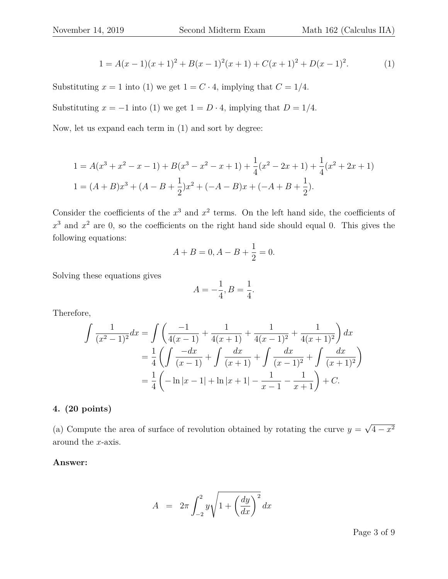$$
1 = A(x-1)(x+1)^2 + B(x-1)^2(x+1) + C(x+1)^2 + D(x-1)^2.
$$
 (1)

Substituting  $x = 1$  into (1) we get  $1 = C \cdot 4$ , implying that  $C = 1/4$ .

Substituting  $x = -1$  into (1) we get  $1 = D \cdot 4$ , implying that  $D = 1/4$ .

Now, let us expand each term in (1) and sort by degree:

$$
1 = A(x^{3} + x^{2} - x - 1) + B(x^{3} - x^{2} - x + 1) + \frac{1}{4}(x^{2} - 2x + 1) + \frac{1}{4}(x^{2} + 2x + 1)
$$
  
\n
$$
1 = (A + B)x^{3} + (A - B + \frac{1}{2})x^{2} + (-A - B)x + (-A + B + \frac{1}{2}).
$$

Consider the coefficients of the  $x^3$  and  $x^2$  terms. On the left hand side, the coefficients of  $x^3$  and  $x^2$  are 0, so the coefficients on the right hand side should equal 0. This gives the following equations:

$$
A + B = 0, A - B + \frac{1}{2} = 0.
$$

Solving these equations gives

$$
A = -\frac{1}{4}, B = \frac{1}{4}.
$$

Therefore,

$$
\int \frac{1}{(x^2 - 1)^2} dx = \int \left( \frac{-1}{4(x - 1)} + \frac{1}{4(x + 1)} + \frac{1}{4(x - 1)^2} + \frac{1}{4(x + 1)^2} \right) dx
$$
  
=  $\frac{1}{4} \left( \int \frac{-dx}{(x - 1)} + \int \frac{dx}{(x + 1)} + \int \frac{dx}{(x - 1)^2} + \int \frac{dx}{(x + 1)^2} \right)$   
=  $\frac{1}{4} \left( -\ln|x - 1| + \ln|x + 1| - \frac{1}{x - 1} - \frac{1}{x + 1} \right) + C.$ 

## **4. (20 points)**

(a) Compute the area of surface of revolution obtained by rotating the curve  $y =$ √  $4 - x^2$ around the x-axis.

## **Answer:**

$$
A = 2\pi \int_{-2}^{2} y \sqrt{1 + \left(\frac{dy}{dx}\right)^2} dx
$$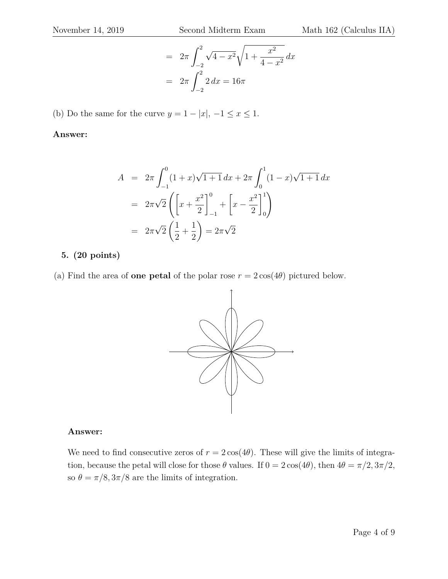$$
= 2\pi \int_{-2}^{2} \sqrt{4 - x^2} \sqrt{1 + \frac{x^2}{4 - x^2}} dx
$$

$$
= 2\pi \int_{-2}^{2} 2 dx = 16\pi
$$

(b) Do the same for the curve  $y = 1 - |x|, -1 \le x \le 1$ .

#### **Answer:**

$$
A = 2\pi \int_{-1}^{0} (1+x)\sqrt{1+1} \, dx + 2\pi \int_{0}^{1} (1-x)\sqrt{1+1} \, dx
$$
  
=  $2\pi \sqrt{2} \left( \left[ x + \frac{x^2}{2} \right]_{-1}^{0} + \left[ x - \frac{x^2}{2} \right]_{0}^{1} \right)$   
=  $2\pi \sqrt{2} \left( \frac{1}{2} + \frac{1}{2} \right) = 2\pi \sqrt{2}$ 

### **5. (20 points)**

(a) Find the area of **one petal** of the polar rose  $r = 2\cos(4\theta)$  pictured below.



#### **Answer:**

We need to find consecutive zeros of  $r = 2\cos(4\theta)$ . These will give the limits of integration, because the petal will close for those  $\theta$  values. If  $0 = 2 \cos(4\theta)$ , then  $4\theta = \pi/2, 3\pi/2$ , so  $\theta=\pi/8, 3\pi/8$  are the limits of integration.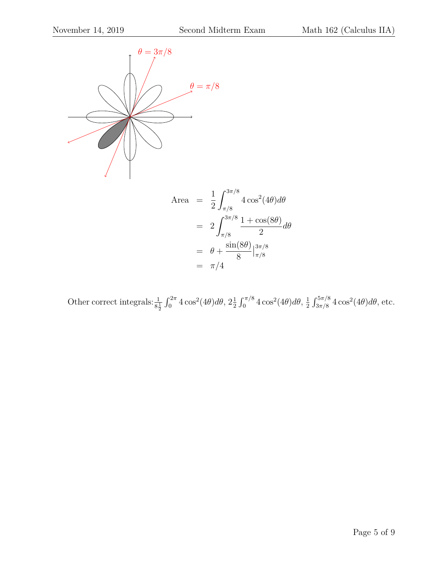

Other correct integrals:  $\frac{1}{8\frac{1}{2}} \int_0^{2\pi} 4\cos^2(4\theta) d\theta$ ,  $2\frac{1}{2}$  $\frac{1}{2} \int_0^{\pi/8} 4 \cos^2(4\theta) d\theta$ ,  $\frac{1}{2}$  $\frac{1}{2} \int_{3\pi/8}^{5\pi/8} 4 \cos^2(4\theta) d\theta$ , etc.

 $=$   $\pi/4$ 

8

π/8

dθ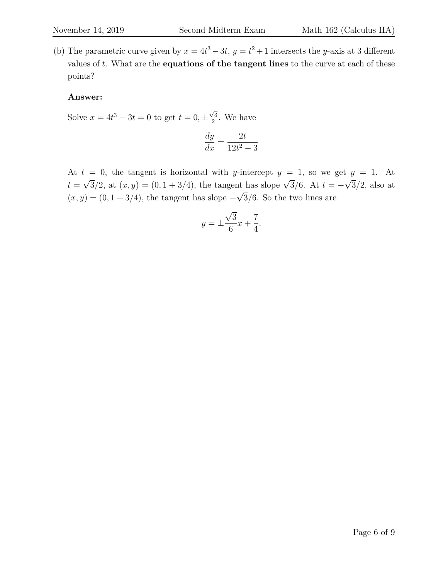(b) The parametric curve given by  $x = 4t^3 - 3t$ ,  $y = t^2 + 1$  intersects the y-axis at 3 different values of t. What are the **equations of the tangent lines** to the curve at each of these points?

#### **Answer:**

Solve  $x = 4t^3 - 3t = 0$  to get  $t = 0, \pm \frac{\sqrt{3}}{2}$  $\frac{\sqrt{3}}{2}$ . We have

$$
\frac{dy}{dx} = \frac{2t}{12t^2 - 3}
$$

At  $t = 0$ , the tangent is horizontal with y-intercept  $y = 1$ , so we get  $y = 1$ . At  $t =$  $\sqrt{3}/2$ , at  $(x, y) = (0, 1 + 3/4)$ , the tangent has slope  $\sqrt{3}/6$ . At  $t = -$ √  $3/2$ , also at  $(x, y) = (0, 1 + 3/4)$ , the tangent has slope – √ 3/6. So the two lines are

$$
y = \pm \frac{\sqrt{3}}{6}x + \frac{7}{4}.
$$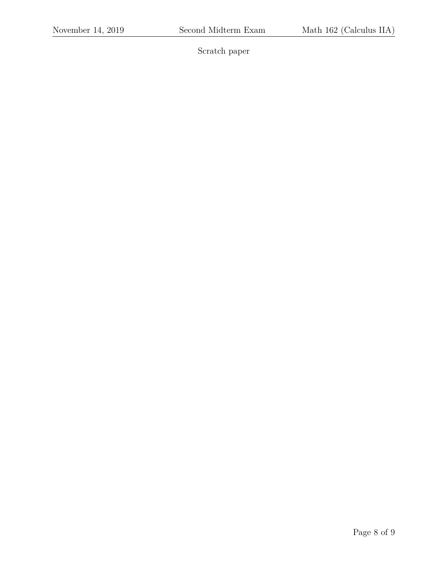Scratch paper